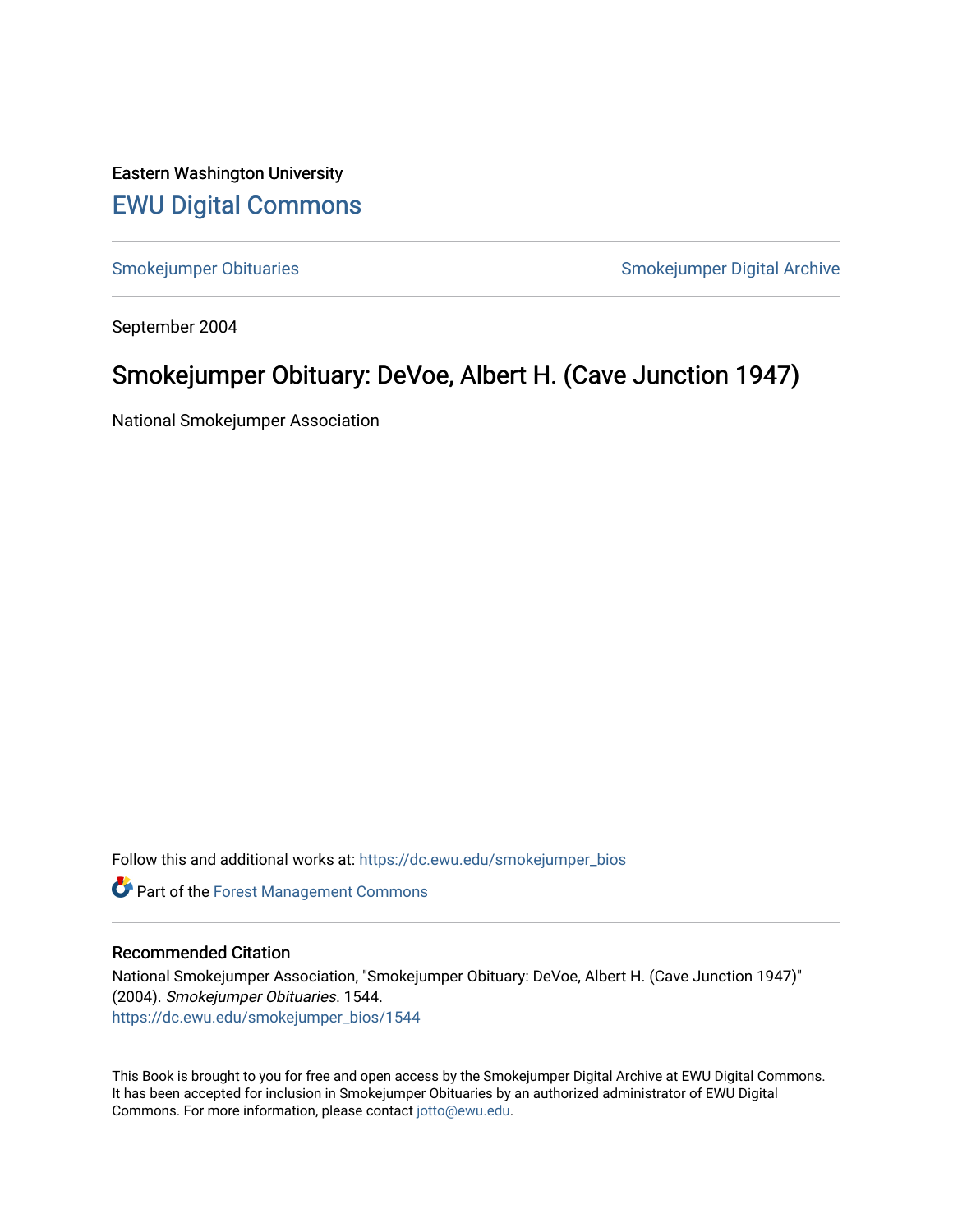Eastern Washington University [EWU Digital Commons](https://dc.ewu.edu/)

[Smokejumper Obituaries](https://dc.ewu.edu/smokejumper_bios) **Smokeyer Community** Smokejumper Digital Archive

September 2004

## Smokejumper Obituary: DeVoe, Albert H. (Cave Junction 1947)

National Smokejumper Association

Follow this and additional works at: [https://dc.ewu.edu/smokejumper\\_bios](https://dc.ewu.edu/smokejumper_bios?utm_source=dc.ewu.edu%2Fsmokejumper_bios%2F1544&utm_medium=PDF&utm_campaign=PDFCoverPages) 

**Part of the [Forest Management Commons](http://network.bepress.com/hgg/discipline/92?utm_source=dc.ewu.edu%2Fsmokejumper_bios%2F1544&utm_medium=PDF&utm_campaign=PDFCoverPages)** 

## Recommended Citation

National Smokejumper Association, "Smokejumper Obituary: DeVoe, Albert H. (Cave Junction 1947)" (2004). Smokejumper Obituaries. 1544. [https://dc.ewu.edu/smokejumper\\_bios/1544](https://dc.ewu.edu/smokejumper_bios/1544?utm_source=dc.ewu.edu%2Fsmokejumper_bios%2F1544&utm_medium=PDF&utm_campaign=PDFCoverPages)

This Book is brought to you for free and open access by the Smokejumper Digital Archive at EWU Digital Commons. It has been accepted for inclusion in Smokejumper Obituaries by an authorized administrator of EWU Digital Commons. For more information, please contact [jotto@ewu.edu.](mailto:jotto@ewu.edu)